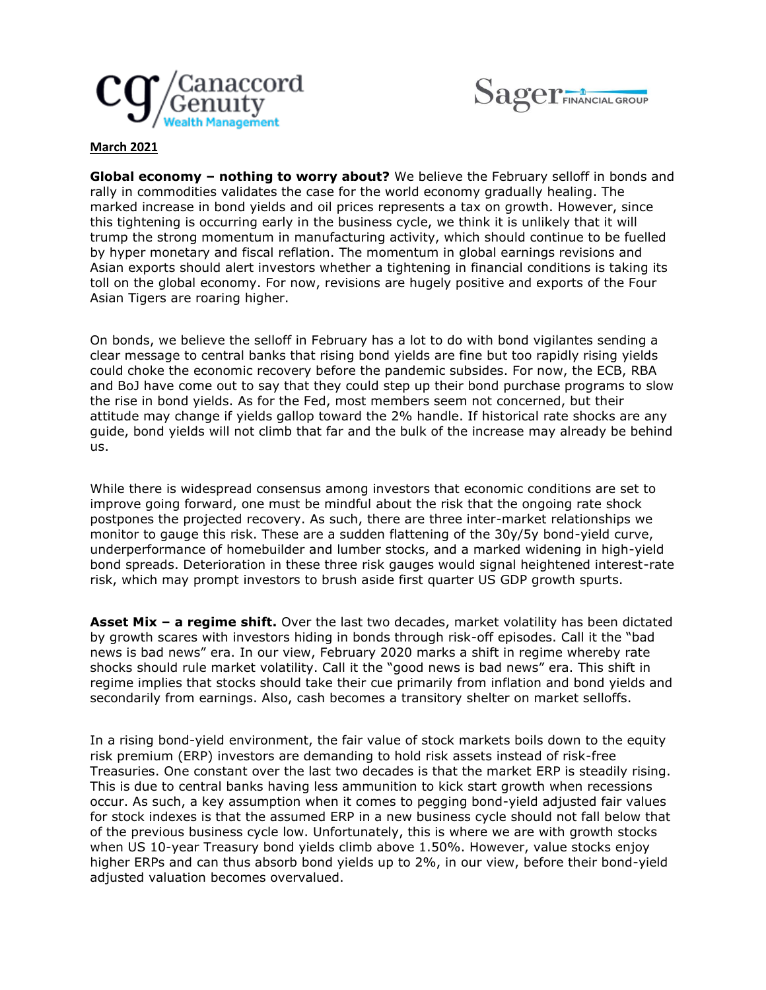



## **March 2021**

**Global economy – nothing to worry about?** We believe the February selloff in bonds and rally in commodities validates the case for the world economy gradually healing. The marked increase in bond yields and oil prices represents a tax on growth. However, since this tightening is occurring early in the business cycle, we think it is unlikely that it will trump the strong momentum in manufacturing activity, which should continue to be fuelled by hyper monetary and fiscal reflation. The momentum in global earnings revisions and Asian exports should alert investors whether a tightening in financial conditions is taking its toll on the global economy. For now, revisions are hugely positive and exports of the Four Asian Tigers are roaring higher.

On bonds, we believe the selloff in February has a lot to do with bond vigilantes sending a clear message to central banks that rising bond yields are fine but too rapidly rising yields could choke the economic recovery before the pandemic subsides. For now, the ECB, RBA and BoJ have come out to say that they could step up their bond purchase programs to slow the rise in bond yields. As for the Fed, most members seem not concerned, but their attitude may change if yields gallop toward the 2% handle. If historical rate shocks are any guide, bond yields will not climb that far and the bulk of the increase may already be behind us.

While there is widespread consensus among investors that economic conditions are set to improve going forward, one must be mindful about the risk that the ongoing rate shock postpones the projected recovery. As such, there are three inter-market relationships we monitor to gauge this risk. These are a sudden flattening of the 30y/5y bond-yield curve, underperformance of homebuilder and lumber stocks, and a marked widening in high-yield bond spreads. Deterioration in these three risk gauges would signal heightened interest-rate risk, which may prompt investors to brush aside first quarter US GDP growth spurts.

**Asset Mix – a regime shift.** Over the last two decades, market volatility has been dictated by growth scares with investors hiding in bonds through risk-off episodes. Call it the "bad news is bad news" era. In our view, February 2020 marks a shift in regime whereby rate shocks should rule market volatility. Call it the "good news is bad news" era. This shift in regime implies that stocks should take their cue primarily from inflation and bond yields and secondarily from earnings. Also, cash becomes a transitory shelter on market selloffs.

In a rising bond-yield environment, the fair value of stock markets boils down to the equity risk premium (ERP) investors are demanding to hold risk assets instead of risk-free Treasuries. One constant over the last two decades is that the market ERP is steadily rising. This is due to central banks having less ammunition to kick start growth when recessions occur. As such, a key assumption when it comes to pegging bond-yield adjusted fair values for stock indexes is that the assumed ERP in a new business cycle should not fall below that of the previous business cycle low. Unfortunately, this is where we are with growth stocks when US 10-year Treasury bond yields climb above 1.50%. However, value stocks enjoy higher ERPs and can thus absorb bond yields up to 2%, in our view, before their bond-yield adjusted valuation becomes overvalued.